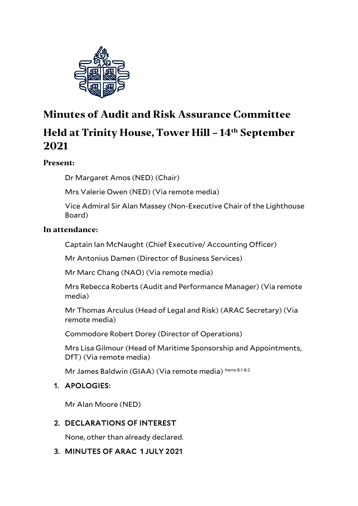

# **Minutes of Audit and Risk Assurance Committee Held at Trinity House, Tower Hill – 14th September 2021**

# **Present:**

Dr Margaret Amos (NED) (Chair)

Mrs Valerie Owen (NED) (Via remote media)

Vice Admiral Sir Alan Massey (Non-Executive Chair of the Lighthouse Board)

#### **In attendance:**

Captain Ian McNaught (Chief Executive/ Accounting Officer)

Mr Antonius Damen (Director of Business Services)

Mr Marc Chang (NAO) (Via remote media)

Mrs Rebecca Roberts (Audit and Performance Manager) (Via remote media)

Mr Thomas Arculus (Head of Legal and Risk) (ARAC Secretary) (Via remote media)

Commodore Robert Dorey (Director of Operations)

Mrs Lisa Gilmour (Head of Maritime Sponsorship and Appointments, DfT) (Via remote media)

Mr James Baldwin (GIAA) (Via remote media) Items 8.1-8.2

## 1. APOLOGIES:

Mr Alan Moore (NED)

## 2. DECLARATIONS OF INTEREST

None, other than already declared.

# 3. MINUTES OF ARAC 1 JULY 2021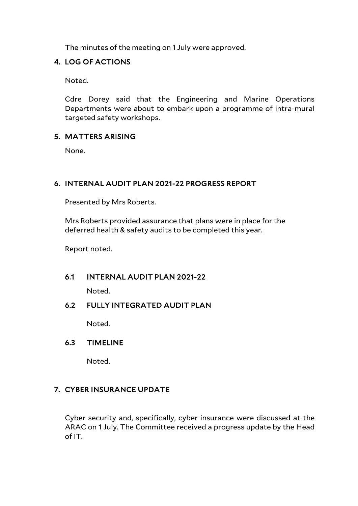The minutes of the meeting on 1 July were approved.

#### 4. LOG OF ACTIONS

Noted.

Cdre Dorey said that the Engineering and Marine Operations Departments were about to embark upon a programme of intra-mural targeted safety workshops.

#### 5. MATTERS ARISING

None.

## 6. INTERNAL AUDIT PLAN 2021-22 PROGRESS REPORT

Presented by Mrs Roberts.

Mrs Roberts provided assurance that plans were in place for the deferred health & safety audits to be completed this year.

Report noted.

#### 6.1 INTERNAL AUDIT PLAN 2021-22

Noted.

#### 6.2 FULLY INTEGRATED AUDIT PLAN

Noted.

#### 6.3 TIMELINE

Noted.

#### 7. CYBER INSURANCE UPDATE

Cyber security and, specifically, cyber insurance were discussed at the ARAC on 1 July. The Committee received a progress update by the Head of IT.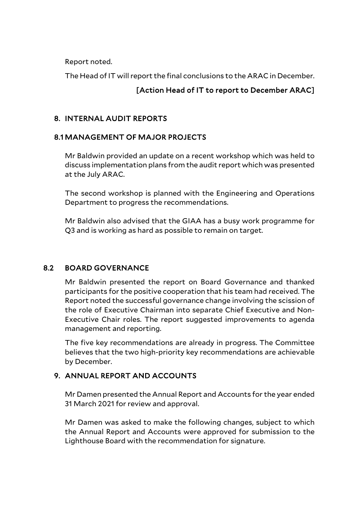Report noted.

The Head of IT will report the final conclusions to the ARAC in December.

## [Action Head of IT to report to December ARAC]

#### 8. INTERNAL AUDIT REPORTS

## 8.1 MANAGEMENT OF MAJOR PROJECTS

Mr Baldwin provided an update on a recent workshop which was held to discuss implementation plans from the audit report which was presented at the July ARAC.

The second workshop is planned with the Engineering and Operations Department to progress the recommendations.

Mr Baldwin also advised that the GIAA has a busy work programme for Q3 and is working as hard as possible to remain on target.

## 8.2 BOARD GOVERNANCE

Mr Baldwin presented the report on Board Governance and thanked participants for the positive cooperation that his team had received. The Report noted the successful governance change involving the scission of the role of Executive Chairman into separate Chief Executive and Non-Executive Chair roles. The report suggested improvements to agenda management and reporting.

The five key recommendations are already in progress. The Committee believes that the two high-priority key recommendations are achievable by December.

## 9. ANNUAL REPORT AND ACCOUNTS

Mr Damen presented the Annual Report and Accounts for the year ended 31 March 2021 for review and approval.

Mr Damen was asked to make the following changes, subject to which the Annual Report and Accounts were approved for submission to the Lighthouse Board with the recommendation for signature.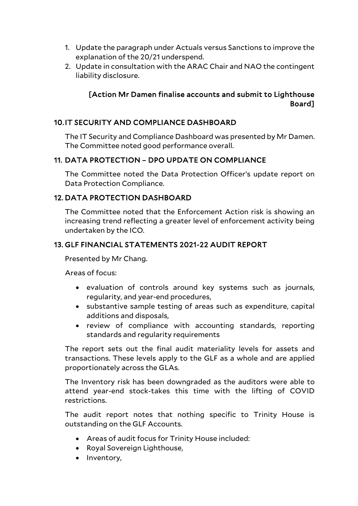- 1. Update the paragraph under Actuals versus Sanctions to improve the explanation of the 20/21 underspend.
- 2. Update in consultation with the ARAC Chair and NAO the contingent liability disclosure.

## [Action Mr Damen finalise accounts and submit to Lighthouse Board]

#### 10.IT SECURITY AND COMPLIANCE DASHBOARD

The IT Security and Compliance Dashboard was presented by Mr Damen. The Committee noted good performance overall.

#### 11. DATA PROTECTION – DPO UPDATE ON COMPLIANCE

The Committee noted the Data Protection Officer's update report on Data Protection Compliance.

## 12. DATA PROTECTION DASHBOARD

The Committee noted that the Enforcement Action risk is showing an increasing trend reflecting a greater level of enforcement activity being undertaken by the ICO.

## 13. GLF FINANCIAL STATEMENTS 2021-22 AUDIT REPORT

Presented by Mr Chang.

Areas of focus:

- evaluation of controls around key systems such as journals, regularity, and year-end procedures,
- substantive sample testing of areas such as expenditure, capital additions and disposals,
- review of compliance with accounting standards, reporting standards and regularity requirements

The report sets out the final audit materiality levels for assets and transactions. These levels apply to the GLF as a whole and are applied proportionately across the GLAs.

The Inventory risk has been downgraded as the auditors were able to attend year-end stock-takes this time with the lifting of COVID restrictions.

The audit report notes that nothing specific to Trinity House is outstanding on the GLF Accounts.

- Areas of audit focus for Trinity House included:
- Royal Sovereign Lighthouse,
- Inventory,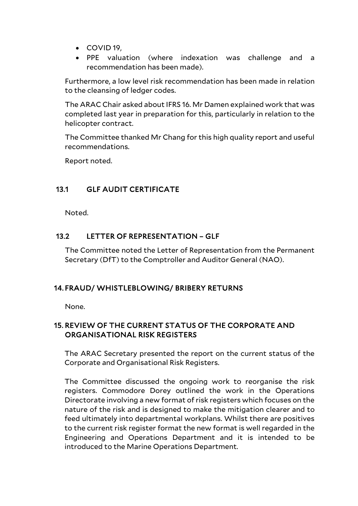- COVID 19,
- PPE valuation (where indexation was challenge and a recommendation has been made).

Furthermore, a low level risk recommendation has been made in relation to the cleansing of ledger codes.

The ARAC Chair asked about IFRS 16. Mr Damen explained work that was completed last year in preparation for this, particularly in relation to the helicopter contract.

The Committee thanked Mr Chang for this high quality report and useful recommendations.

Report noted.

## 13.1 GLF AUDIT CERTIFICATE

Noted.

## 13.2 LETTER OF REPRESENTATION – GLF

The Committee noted the Letter of Representation from the Permanent Secretary (DfT) to the Comptroller and Auditor General (NAO).

#### 14. FRAUD/ WHISTLEBLOWING/ BRIBERY RETURNS

None.

## 15. REVIEW OF THE CURRENT STATUS OF THE CORPORATE AND ORGANISATIONAL RISK REGISTERS

The ARAC Secretary presented the report on the current status of the Corporate and Organisational Risk Registers.

The Committee discussed the ongoing work to reorganise the risk registers. Commodore Dorey outlined the work in the Operations Directorate involving a new format of risk registers which focuses on the nature of the risk and is designed to make the mitigation clearer and to feed ultimately into departmental workplans. Whilst there are positives to the current risk register format the new format is well regarded in the Engineering and Operations Department and it is intended to be introduced to the Marine Operations Department.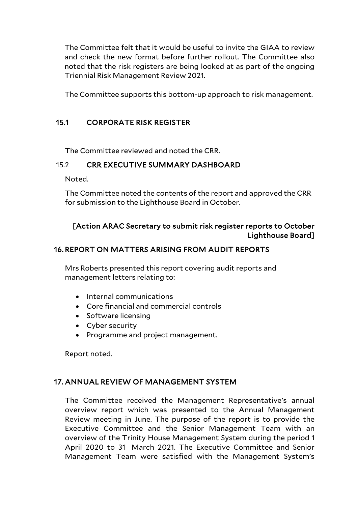The Committee felt that it would be useful to invite the GIAA to review and check the new format before further rollout. The Committee also noted that the risk registers are being looked at as part of the ongoing Triennial Risk Management Review 2021.

The Committee supports this bottom-up approach to risk management.

## 15.1 CORPORATE RISK REGISTER

The Committee reviewed and noted the CRR.

#### 15.2 CRR EXECUTIVE SUMMARY DASHBOARD

Noted.

The Committee noted the contents of the report and approved the CRR for submission to the Lighthouse Board in October.

## [Action ARAC Secretary to submit risk register reports to October Lighthouse Board]

#### 16. REPORT ON MATTERS ARISING FROM AUDIT REPORTS

Mrs Roberts presented this report covering audit reports and management letters relating to:

- Internal communications
- Core financial and commercial controls
- Software licensing
- Cyber security
- Programme and project management.

Report noted.

#### 17. ANNUAL REVIEW OF MANAGEMENT SYSTEM

The Committee received the Management Representative's annual overview report which was presented to the Annual Management Review meeting in June. The purpose of the report is to provide the Executive Committee and the Senior Management Team with an overview of the Trinity House Management System during the period 1 April 2020 to 31 March 2021. The Executive Committee and Senior Management Team were satisfied with the Management System's